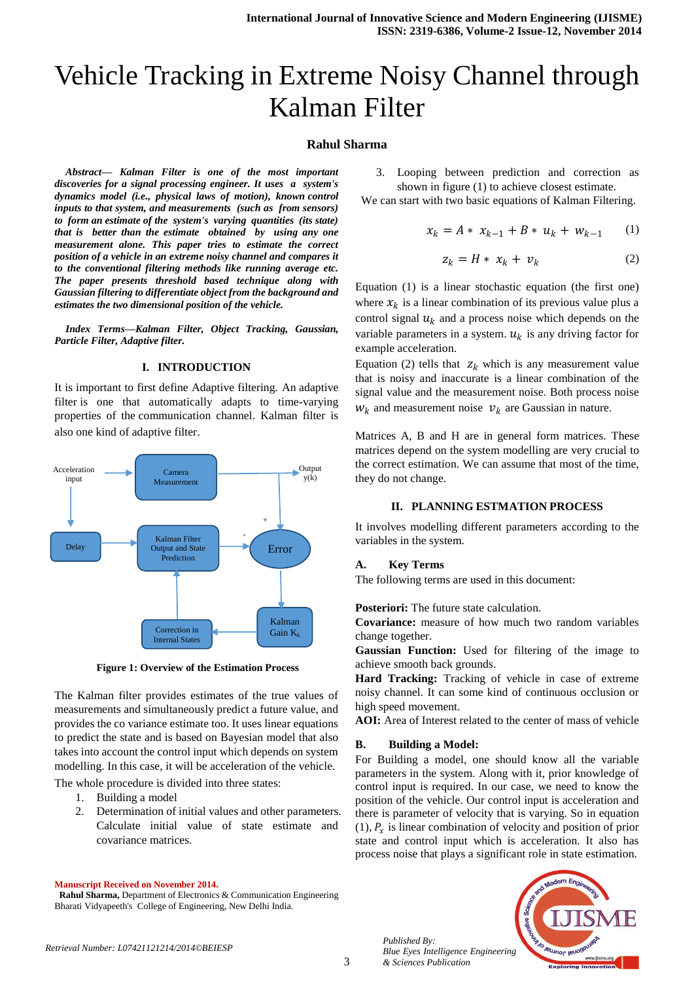# Vehicle Tracking in Extreme Noisy Channel through Kalman Filter

## **Rahul Sharma**

*Abstract— Kalman Filter is one of the most important discoveries for a signal processing engineer. It uses a system's dynamics model (i.e., physical laws of motion), known control inputs to that system, and measurements (such as from sensors) to form an estimate of the system's varying quantities (its state) that is better than the estimate obtained by using any one measurement alone. This paper tries to estimate the correct position of a vehicle in an extreme noisy channel and compares it to the conventional filtering methods like running average etc. The paper presents threshold based technique along with Gaussian filtering to differentiate object from the background and estimates the two dimensional position of the vehicle.* 

*Index Terms—Kalman Filter, Object Tracking, Gaussian, Particle Filter, Adaptive filter.*

## **I. INTRODUCTION**

It is important to first define Adaptive filtering. An adaptive filter is one that automatically adapts to time-varying properties of the communication channel. Kalman filter is also one kind of adaptive filter.



**Figure 1: Overview of the Estimation Process**

The Kalman filter provides estimates of the true values of measurements and simultaneously predict a future value, and provides the co variance estimate too. It uses linear equations to predict the state and is based on Bayesian model that also takes into account the control input which depends on system modelling. In this case, it will be acceleration of the vehicle.

The whole procedure is divided into three states:

- 1. Building a model
- 2. Determination of initial values and other parameters. Calculate initial value of state estimate and covariance matrices.

**Manuscript Received on November 2014.**

 **Rahul Sharma,** Department of Electronics & Communication Engineering Bharati Vidyapeeth's College of Engineering, New Delhi India.

3. Looping between prediction and correction as shown in figure (1) to achieve closest estimate.

We can start with two basic equations of Kalman Filtering.

$$
x_k = A * x_{k-1} + B * u_k + w_{k-1} \qquad (1)
$$

$$
z_k = H * x_k + v_k \tag{2}
$$

Equation (1) is a linear stochastic equation (the first one) where  $x_k$  is a linear combination of its previous value plus a control signal  $u_k$  and a process noise which depends on the variable parameters in a system.  $u_k$  is any driving factor for example acceleration.

Equation (2) tells that  $z_k$  which is any measurement value that is noisy and inaccurate is a linear combination of the signal value and the measurement noise. Both process noise  $W_k$  and measurement noise  $v_k$  are Gaussian in nature.

Matrices A, B and H are in general form matrices. These matrices depend on the system modelling are very crucial to the correct estimation. We can assume that most of the time, they do not change.

#### **II. PLANNING ESTMATION PROCESS**

It involves modelling different parameters according to the variables in the system.

## **A. Key Terms**

The following terms are used in this document:

**Posteriori:** The future state calculation.

**Covariance:** measure of how much two random variables change together.

**Gaussian Function:** Used for filtering of the image to achieve smooth back grounds.

**Hard Tracking:** Tracking of vehicle in case of extreme noisy channel. It can some kind of continuous occlusion or high speed movement.

**AOI:** Area of Interest related to the center of mass of vehicle

## **B. Building a Model:**

*Published By:*

*& Sciences Publication* 

For Building a model, one should know all the variable parameters in the system. Along with it, prior knowledge of control input is required. In our case, we need to know the position of the vehicle. Our control input is acceleration and there is parameter of velocity that is varying. So in equation  $(1)$ ,  $P_x$  is linear combination of velocity and position of prior state and control input which is acceleration. It also has process noise that plays a significant role in state estimation.

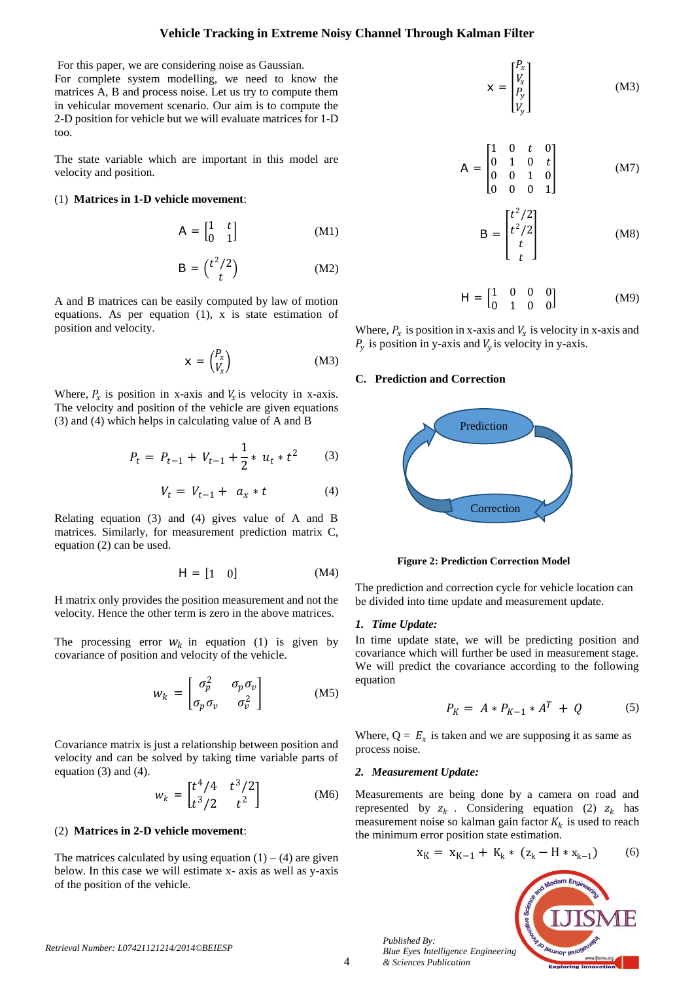## **Vehicle Tracking in Extreme Noisy Channel Through Kalman Filter**

For this paper, we are considering noise as Gaussian. For complete system modelling, we need to know the matrices A, B and process noise. Let us try to compute them in vehicular movement scenario. Our aim is to compute the 2-D position for vehicle but we will evaluate matrices for 1-D too.

The state variable which are important in this model are velocity and position.

## (1) **Matrices in 1-D vehicle movement**:

$$
A = \begin{bmatrix} 1 & t \\ 0 & 1 \end{bmatrix} \tag{M1}
$$

$$
B = \binom{t^2/2}{t} \tag{M2}
$$

A and B matrices can be easily computed by law of motion equations. As per equation (1), x is state estimation of position and velocity.

$$
x = \begin{pmatrix} P_x \\ V_x \end{pmatrix} \tag{M3}
$$

Where,  $P_x$  is position in x-axis and  $V_x$  is velocity in x-axis. The velocity and position of the vehicle are given equations (3) and (4) which helps in calculating value of A and B

$$
P_t = P_{t-1} + V_{t-1} + \frac{1}{2} * u_t * t^2 \tag{3}
$$

$$
V_t = V_{t-1} + a_x * t \tag{4}
$$

Relating equation (3) and (4) gives value of A and B matrices. Similarly, for measurement prediction matrix C, equation (2) can be used.

$$
H = \begin{bmatrix} 1 & 0 \end{bmatrix} \tag{M4}
$$

H matrix only provides the position measurement and not the velocity. Hence the other term is zero in the above matrices.

The processing error  $W_k$  in equation (1) is given by covariance of position and velocity of the vehicle.

$$
w_k = \begin{bmatrix} \sigma_p^2 & \sigma_p \sigma_v \\ \sigma_p \sigma_v & \sigma_v^2 \end{bmatrix}
$$
 (M5)

Covariance matrix is just a relationship between position and velocity and can be solved by taking time variable parts of equation (3) and (4).

$$
w_k = \begin{bmatrix} t^4/4 & t^3/2 \\ t^3/2 & t^2 \end{bmatrix}
$$
 (M6)

## (2) **Matrices in 2-D vehicle movement**:

The matrices calculated by using equation  $(1) - (4)$  are given below. In this case we will estimate x- axis as well as y-axis of the position of the vehicle.

$$
\mathbf{x} = \begin{bmatrix} P_x \\ V_x \\ P_y \\ V_y \end{bmatrix} \tag{M3}
$$

$$
A = \begin{bmatrix} 1 & 0 & t & 0 \\ 0 & 1 & 0 & t \\ 0 & 0 & 1 & 0 \\ 0 & 0 & 0 & 1 \end{bmatrix}
$$
 (M7)

$$
B = \begin{bmatrix} t^2/2 \\ t^2/2 \\ t \\ t \end{bmatrix}
$$
 (M8)

$$
H = \begin{bmatrix} 1 & 0 & 0 & 0 \\ 0 & 1 & 0 & 0 \end{bmatrix}
$$
 (M9)

Where,  $P_x$  is position in x-axis and  $V_x$  is velocity in x-axis and  $P_y$  is position in y-axis and  $V_y$  is velocity in y-axis.

#### **C. Prediction and Correction**



**Figure 2: Prediction Correction Model**

The prediction and correction cycle for vehicle location can be divided into time update and measurement update.

## *1. Time Update:*

In time update state, we will be predicting position and covariance which will further be used in measurement stage. We will predict the covariance according to the following equation

$$
P_K = A * P_{K-1} * A^T + Q \tag{5}
$$

Where,  $Q = E_x$  is taken and we are supposing it as same as process noise.

#### *2. Measurement Update:*

*Published By:*

*& Sciences Publication* 

Measurements are being done by a camera on road and represented by  $z_k$ . Considering equation (2)  $z_k$  has measurement noise so kalman gain factor  $K_k$  is used to reach the minimum error position state estimation.

$$
x_K = x_{K-1} + K_k * (z_k - H * x_{k-1})
$$
 (6)

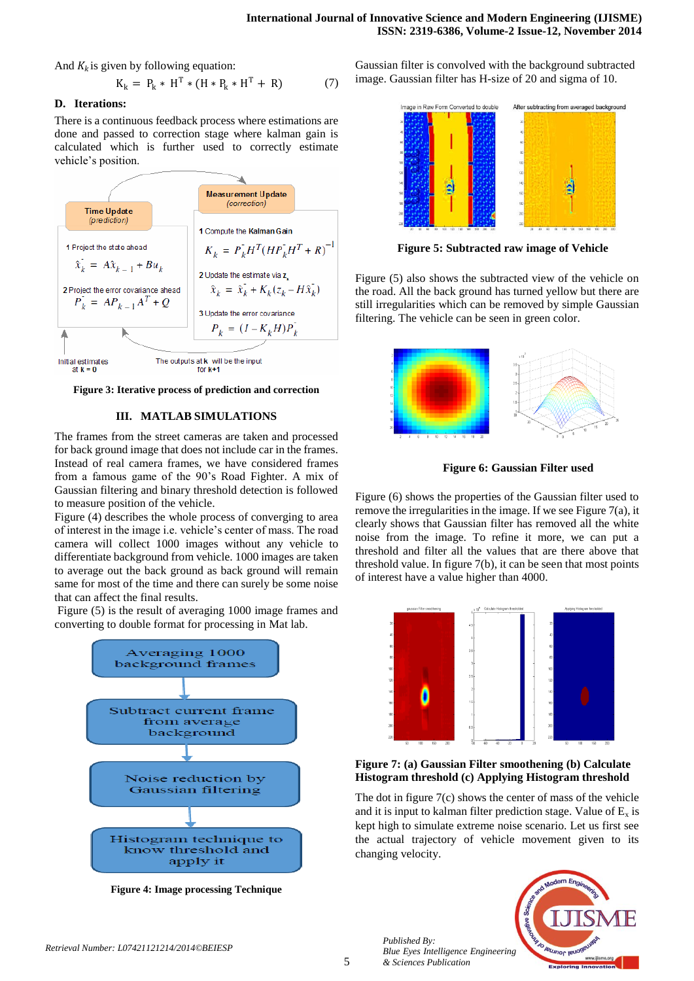And  $K_k$  is given by following equation:

$$
K_k = P_k * H^T * (H * P_k * H^T + R)
$$
 (7)

# **D. Iterations:**

There is a continuous feedback process where estimations are done and passed to correction stage where kalman gain is calculated which is further used to correctly estimate vehicle's position.



**Figure 3: Iterative process of prediction and correction**

# **III. MATLAB SIMULATIONS**

The frames from the street cameras are taken and processed for back ground image that does not include car in the frames. Instead of real camera frames, we have considered frames from a famous game of the 90's Road Fighter. A mix of Gaussian filtering and binary threshold detection is followed to measure position of the vehicle.

Figure (4) describes the whole process of converging to area of interest in the image i.e. vehicle's center of mass. The road camera will collect 1000 images without any vehicle to differentiate background from vehicle. 1000 images are taken to average out the back ground as back ground will remain same for most of the time and there can surely be some noise that can affect the final results.

Figure (5) is the result of averaging 1000 image frames and converting to double format for processing in Mat lab.



**Figure 4: Image processing Technique**

Gaussian filter is convolved with the background subtracted image. Gaussian filter has H-size of 20 and sigma of 10.



**Figure 5: Subtracted raw image of Vehicle**

Figure (5) also shows the subtracted view of the vehicle on the road. All the back ground has turned yellow but there are still irregularities which can be removed by simple Gaussian filtering. The vehicle can be seen in green color.



**Figure 6: Gaussian Filter used**

Figure (6) shows the properties of the Gaussian filter used to remove the irregularities in the image. If we see Figure 7(a), it clearly shows that Gaussian filter has removed all the white noise from the image. To refine it more, we can put a threshold and filter all the values that are there above that threshold value. In figure 7(b), it can be seen that most points of interest have a value higher than 4000.



# **Figure 7: (a) Gaussian Filter smoothening (b) Calculate Histogram threshold (c) Applying Histogram threshold**

The dot in figure 7(c) shows the center of mass of the vehicle and it is input to kalman filter prediction stage. Value of  $E_x$  is kept high to simulate extreme noise scenario. Let us first see the actual trajectory of vehicle movement given to its changing velocity.